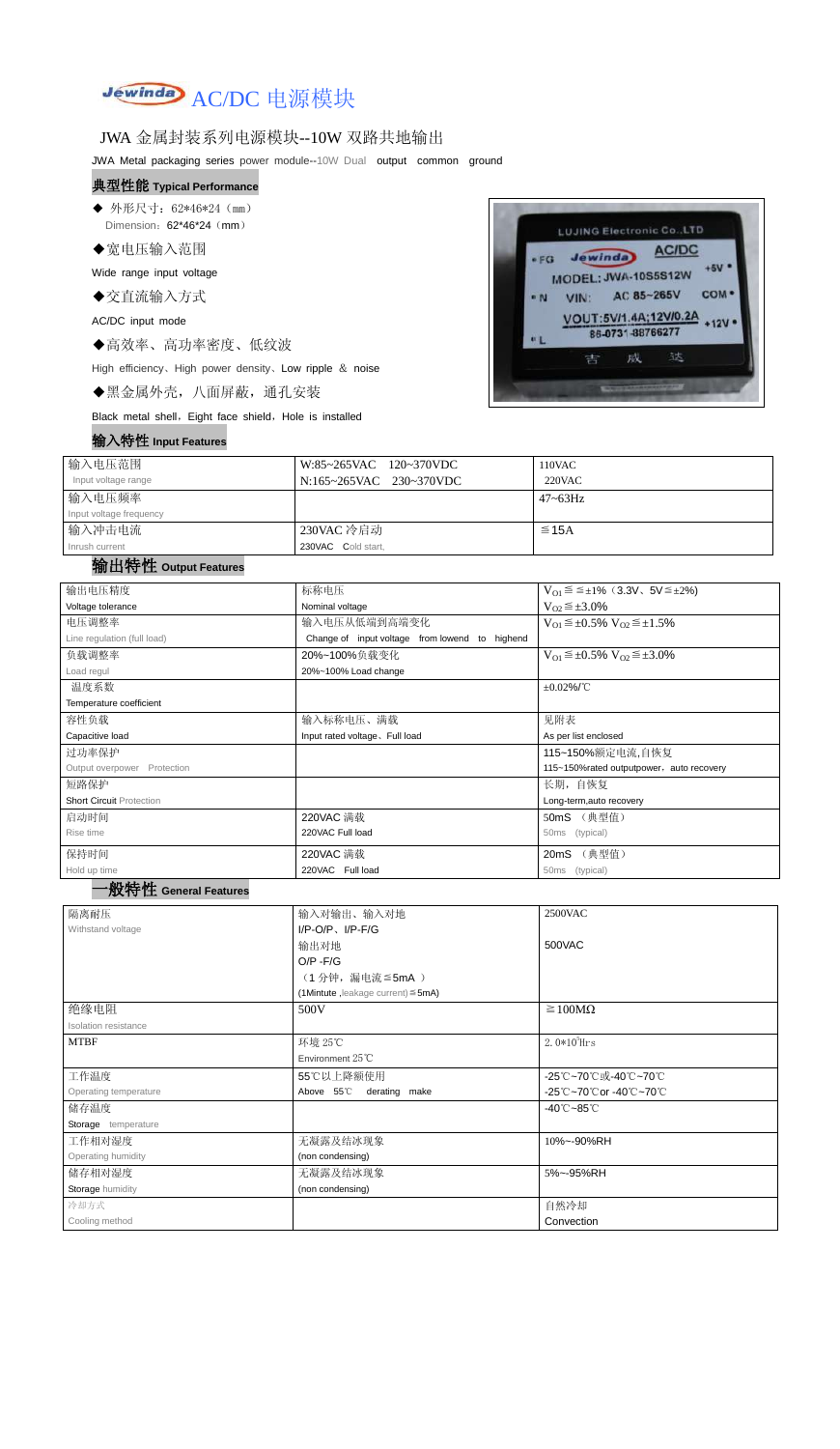

### JWA 金属封装系列电源模块--10W 双路共地输出

JWA Metal packaging series power module--10W Dual output common ground

#### 典型性能 **Typical Performance**

◆ 外形尺寸: 62\*46\*24 (mm) Dimension: 62\*46\*24 (mm)

◆宽电压输入范围

Wide range input voltage

◆交直流输入方式

AC/DC input mode

◆高效率、高功率密度、低纹波

High efficiency、High power density、Low ripple & noise

◆黑金属外壳,八面屏蔽,通孔安装

Black metal shell, Eight face shield, Hole is installed

### 输入特性 **Input Features**



| 输入电压范围                  | W:85~265VAC 120~370VDC  | 110VAC       |
|-------------------------|-------------------------|--------------|
| Input voltage range     | N:165~265VAC 230~370VDC | $220$ VAC    |
| 输入电压频率                  |                         | $47 - 63$ Hz |
| Input voltage frequency |                         |              |
| 输入冲击电流                  | 230VAC 冷启动              | $\leq$ 15A   |
| Inrush current          | 230VAC Cold start,      |              |

## 输出特性 **Output Features**

## 一般特性 **General Features**

| 输出电压精度                          | 标称电压                                           | $V_{01} \le \le \pm 1\%$ (3.3V, 5V $\le \pm 2\%$ )    |  |  |
|---------------------------------|------------------------------------------------|-------------------------------------------------------|--|--|
| Voltage tolerance               | Nominal voltage                                | $V_{O2} \leq \pm 3.0\%$                               |  |  |
| 电压调整率                           | 输入电压从低端到高端变化                                   | $V_{O1} \leq \pm 0.5\% \text{ V}_{O2} \leq \pm 1.5\%$ |  |  |
| Line regulation (full load)     | Change of input voltage from lowend to highend |                                                       |  |  |
| 负载调整率                           | 20%~100%负载变化                                   | $V_{O1} \leq \pm 0.5\% \text{ V}_{O2} \leq \pm 3.0\%$ |  |  |
| Load regul                      | 20%~100% Load change                           |                                                       |  |  |
| 温度系数                            |                                                | $\pm 0.02\%$ /°C                                      |  |  |
| Temperature coefficient         |                                                |                                                       |  |  |
| 容性负载                            | 输入标称电压、满载                                      | 见附表                                                   |  |  |
| Capacitive load                 | Input rated voltage. Full load                 | As per list enclosed                                  |  |  |
| 过功率保护                           | 115~150%额定电流,自恢复                               |                                                       |  |  |
| Output overpower Protection     | 115~150%rated outputpower, auto recovery       |                                                       |  |  |
| 短路保护                            |                                                | 长期, 自恢复                                               |  |  |
| <b>Short Circuit Protection</b> |                                                | Long-term, auto recovery                              |  |  |
| 启动时间                            | 220VAC 满载                                      | 50mS (典型值)                                            |  |  |
| Rise time                       | 220VAC Full load                               | (typical)<br>50ms                                     |  |  |
| 保持时间                            | 220VAC 满载                                      | (典型值)<br>20mS                                         |  |  |
| Hold up time                    | 220VAC Full load                               | 50 <sub>ms</sub><br>(typical)                         |  |  |

| 隔离耐压 | 入对输出、输入对地<br>输入 | 2500VAC |
|------|-----------------|---------|

| Withstand voltage     | $I/P$ -O/P, $I/P$ -F/G<br>输出对地<br>$O/P - F/G$<br>(1分钟,漏电流≦5mA)<br>$(1$ Mintute, leakage current) $\leq$ 5mA) | 500VAC              |  |  |
|-----------------------|--------------------------------------------------------------------------------------------------------------|---------------------|--|--|
| 绝缘电阻                  | 500V                                                                                                         | $\geq 100M\Omega$   |  |  |
| Isolation resistance  |                                                                                                              |                     |  |  |
| <b>MTBF</b>           | 环境 25℃                                                                                                       | 2.0 $*10^5$ Hrs     |  |  |
|                       | Environment $25^{\circ}$ C                                                                                   |                     |  |  |
| 工作温度                  | 55℃以上降额使用                                                                                                    | -25℃~70℃或-40℃~70℃   |  |  |
| Operating temperature | Above 55°C<br>derating make                                                                                  | -25℃~70℃or -40℃~70℃ |  |  |
| 储存温度                  | $-40^{\circ}$ C $-85^{\circ}$ C                                                                              |                     |  |  |
| Storage temperature   |                                                                                                              |                     |  |  |
| 工作相对湿度                | 无凝露及结冰现象                                                                                                     | 10%~-90%RH          |  |  |
| Operating humidity    | (non condensing)                                                                                             |                     |  |  |
| 储存相对湿度                | 无凝露及结冰现象<br>5%~-95%RH                                                                                        |                     |  |  |
| Storage humidity      | (non condensing)                                                                                             |                     |  |  |
| 冷却方式                  |                                                                                                              | 自然冷却                |  |  |
| Cooling method        |                                                                                                              | Convection          |  |  |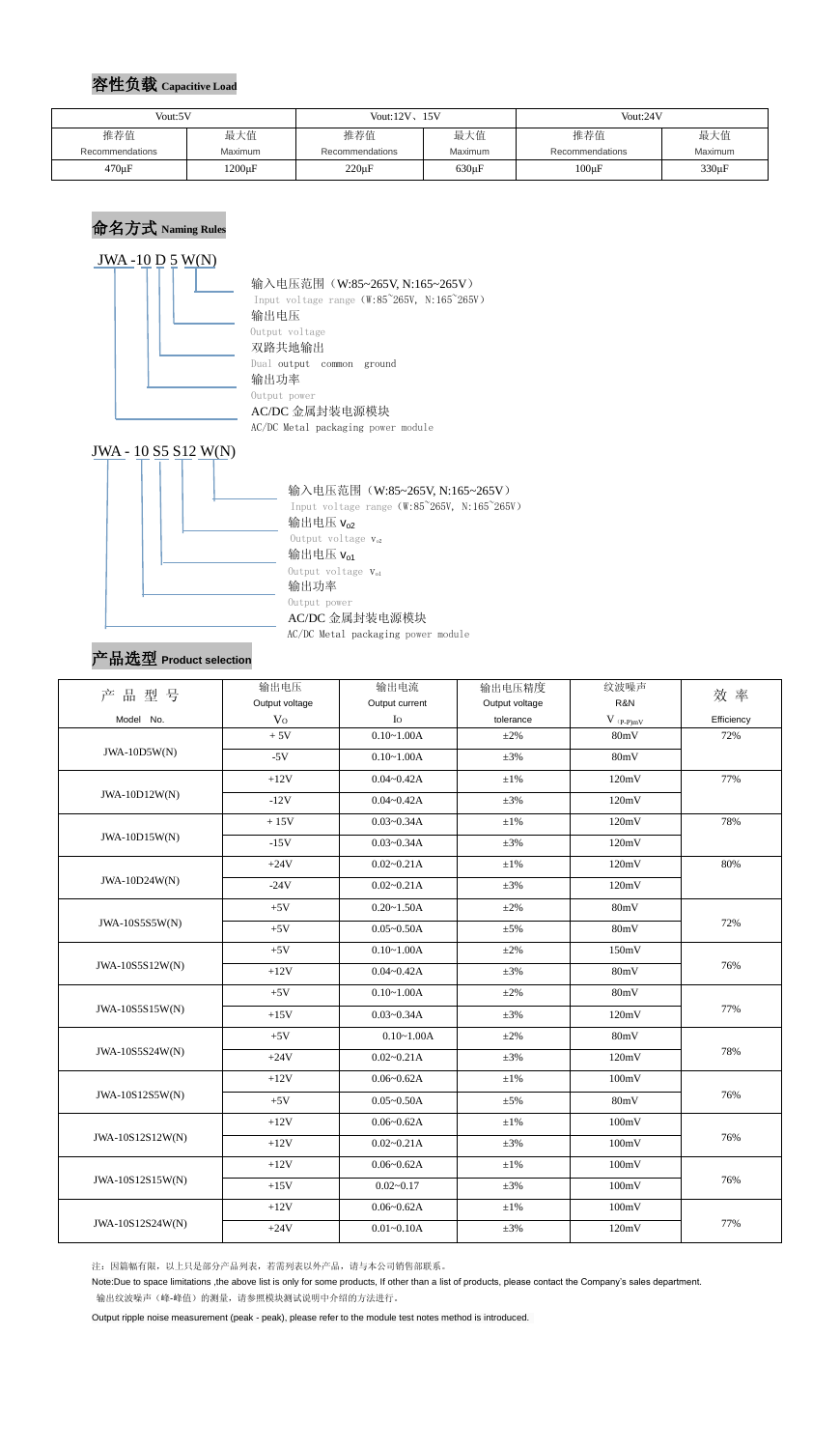## 容性负载 **Capacitive Load**

## 命名方式 **Naming Rules**

#### $JWA - 10 D 5 W(N)$



#### 输入电压范围 (W:85~265V, N:165~265V)

Input voltage range (W:85~265V, N:165~265V) 输出电压 Output voltage 双路共地输出 Dual output common ground 输出功率 Output power AC/DC 金属封装电源模块 AC/DC Metal packaging power module



AC/DC Metal packaging power module

## 产品选型 **Product selection**

注:因篇幅有限,以上只是部分产品列表,若需列表以外产品,请与本公司销售部联系。

Note:Due to space limitations ,the above list is only for some products, If other than a list of products, please contact the Company's sales department. 输出纹波噪声(峰-峰值)的测量,请参照模块测试说明中介绍的方法进行。

Output ripple noise measurement (peak - peak), please refer to the module test notes method is introduced.

| Vout:5V         |                | Vout: $12V$ , $15V$ |             | Vout:24V        |            |
|-----------------|----------------|---------------------|-------------|-----------------|------------|
| 推荐值             | 最大值            | 推荐值                 | 最大值         | 推荐值             | 最大值        |
| Recommendations | <b>Maximum</b> | Recommendations     | Maximum     | Recommendations | Maximum    |
| $470 \mu F$     | $1200 \mu F$   | $220 \mu F$         | $630 \mu F$ | $100 \mu F$     | $330\mu F$ |

| 品型号<br>产         | 输出电压<br>Output voltage | 输出电流<br>Output current | 输出电压精度<br>Output voltage | 纹波噪声<br>R&N       | 效率         |  |
|------------------|------------------------|------------------------|--------------------------|-------------------|------------|--|
| Model No.        | V <sub>O</sub>         | $I_{\rm O}$            | tolerance<br>$V$ (p-p)mV |                   | Efficiency |  |
|                  | $+5V$                  | $0.10 - 1.00A$         | $\pm 2\%$                | 80mV              | 72%        |  |
| $JWA-10D5W(N)$   | $-5V$                  | $0.10 - 1.00A$         | $\pm 3\%$                | 80mV              |            |  |
|                  | $+12V$                 | $0.04 - 0.42A$         | $\pm 1\%$                | 120mV             | 77%        |  |
| $JWA-10D12W(N)$  | $-12V$                 | $0.04 - 0.42A$         | $\pm 3\%$                | 120mV             |            |  |
|                  | $+15V$                 | $0.03 - 0.34A$         | $\pm 1\%$                | 120mV             | 78%        |  |
| $JWA-10D15W(N)$  | $-15V$                 | $0.03 - 0.34A$         | $\pm 3\%$                | 120mV             |            |  |
|                  | $+24V$                 | $0.02 - 0.21A$         | $\pm 1\%$                | 120mV             | 80%        |  |
| JWA-10D24W(N)    | $-24V$                 | $0.02 - 0.21A$         | $\pm 3\%$                | 120mV             |            |  |
|                  | $+5V$                  | $0.20 - 1.50A$         | $\pm 2\%$                | 80mV              |            |  |
| JWA-10S5S5W(N)   | $+5V$                  | $0.05 - 0.50A$         | $\pm$ 5%                 | 80mV              | 72%        |  |
|                  | $+5\mathrm{V}$         | $0.10 - 1.00A$         | $\pm 2\%$                | 150mV             | 76%        |  |
| JWA-10S5S12W(N)  | $+12V$                 | $0.04 - 0.42A$         | $\pm 3\%$                | 80mV              |            |  |
| JWA-10S5S15W(N)  | $+5\mathrm{V}$         | $0.10 - 1.00A$         | $\pm 2\%$                | 80mV              | 77%        |  |
|                  | $+15V$                 | $0.03 - 0.34A$         | $\pm 3\%$                | 120mV             |            |  |
|                  | $+5V$                  | $0.10 - 1.00A$         | $\pm 2\%$                | 80mV              |            |  |
| JWA-10S5S24W(N)  | $+24V$                 | $0.02 - 0.21A$         | $\pm 3\%$                | 120mV             | 78%        |  |
|                  | $+12V$                 | $0.06 - 0.62A$         | $\pm 1\%$                | 100mV             |            |  |
| JWA-10S12S5W(N)  | $+5V$                  | $0.05 - 0.50A$         | $\pm$ 5%                 | 80mV              | 76%        |  |
|                  | $+12V$                 | $0.06 - 0.62A$         | $\pm1\%$                 | 100mV             |            |  |
| JWA-10S12S12W(N) | $+12V$                 | $0.02 - 0.21A$         | $\pm 3\%$                | 100mV             | 76%        |  |
| JWA-10S12S15W(N) | $+12V$                 | $0.06 - 0.62A$         | $\pm 1\%$                | 100mV             |            |  |
|                  | $+15V$                 | $0.02 - 0.17$          | $\pm 3\%$                | 100mV             | 76%        |  |
|                  | $+12V$                 | $0.06 - 0.62A$         | $\pm 1\%$                | $100 \mathrm{mV}$ |            |  |
| JWA-10S12S24W(N) | $+24V$                 | $0.01 - 0.10A$         | $\pm 3\%$                | 120mV             | 77%        |  |